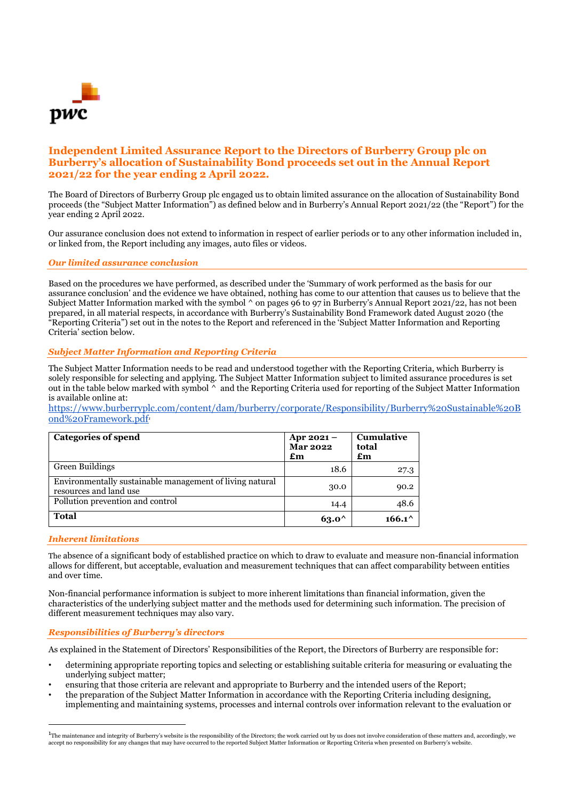

# **Independent Limited Assurance Report to the Directors of Burberry Group plc on Burberry's allocation of Sustainability Bond proceeds set out in the Annual Report 2021/22 for the year ending 2 April 2022.**

The Board of Directors of Burberry Group plc engaged us to obtain limited assurance on the allocation of Sustainability Bond proceeds (the "Subject Matter Information") as defined below and in Burberry's Annual Report 2021/22 (the "Report") for the year ending 2 April 2022.

Our assurance conclusion does not extend to information in respect of earlier periods or to any other information included in, or linked from, the Report including any images, auto files or videos.

#### *Our limited assurance conclusion*

Based on the procedures we have performed, as described under the 'Summary of work performed as the basis for our assurance conclusion' and the evidence we have obtained, nothing has come to our attention that causes us to believe that the Subject Matter Information marked with the symbol  $\wedge$  on pages 96 to 97 in Burberry's Annual Report 2021/22, has not been prepared, in all material respects, in accordance with Burberry's Sustainability Bond Framework dated August 2020 (the "Reporting Criteria") set out in the notes to the Report and referenced in the 'Subject Matter Information and Reporting Criteria' section below.

#### *Subject Matter Information and Reporting Criteria*

The Subject Matter Information needs to be read and understood together with the Reporting Criteria, which Burberry is solely responsible for selecting and applying. The Subject Matter Information subject to limited assurance procedures is set out in the table below marked with symbol ^ and the Reporting Criteria used for reporting of the Subject Matter Information is available online at:

[https://www.burberryplc.com/content/dam/burberry/corporate/Responsibility/Burberry%20Sustainable%20B](https://www.burberryplc.com/content/dam/burberry/corporate/Responsibility/Burberry%20Sustainable%20Bond%20Framework.pdf) [ond%20Framework.pdf](https://www.burberryplc.com/content/dam/burberry/corporate/Responsibility/Burberry%20Sustainable%20Bond%20Framework.pdf)*<sup>1</sup>*

| <b>Categories of spend</b>                                                         | Apr $2021 -$<br><b>Mar 2022</b><br>£m | <b>Cumulative</b><br>total<br>$\mathbf{f}$ m |
|------------------------------------------------------------------------------------|---------------------------------------|----------------------------------------------|
| Green Buildings                                                                    | 18.6                                  | 27.3                                         |
| Environmentally sustainable management of living natural<br>resources and land use | 30.0                                  | 90.2                                         |
| Pollution prevention and control                                                   | 14.4                                  | 48.6                                         |
| <b>Total</b>                                                                       | $63.0^{\circ}$                        | $166.1^{\wedge}$                             |

#### *Inherent limitations*

The absence of a significant body of established practice on which to draw to evaluate and measure non-financial information allows for different, but acceptable, evaluation and measurement techniques that can affect comparability between entities and over time.

Non-financial performance information is subject to more inherent limitations than financial information, given the characteristics of the underlying subject matter and the methods used for determining such information. The precision of different measurement techniques may also vary.

#### *Responsibilities of Burberry's directors*

As explained in the Statement of Directors' Responsibilities of the Report, the Directors of Burberry are responsible for:

- determining appropriate reporting topics and selecting or establishing suitable criteria for measuring or evaluating the underlying subject matter;
- ensuring that those criteria are relevant and appropriate to Burberry and the intended users of the Report;
- the preparation of the Subject Matter Information in accordance with the Reporting Criteria including designing, implementing and maintaining systems, processes and internal controls over information relevant to the evaluation or

 $^{1}$ The maintenance and integrity of Burberry's website is the responsibility of the Directors; the work carried out by us does not involve consideration of these matters and, accordingly, we accept no responsibility for any changes that may have occurred to the reported Subject Matter Information or Reporting Criteria when presented on Burberry's website.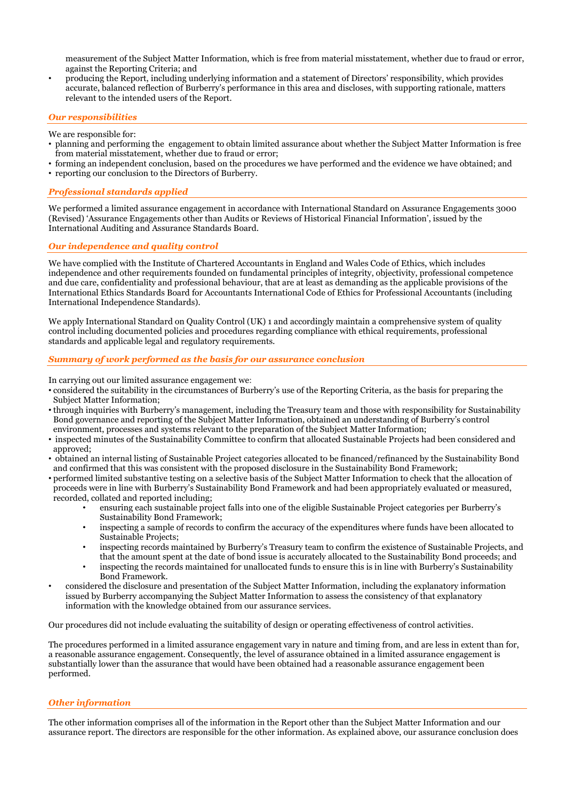measurement of the Subject Matter Information, which is free from material misstatement, whether due to fraud or error, against the Reporting Criteria; and

• producing the Report, including underlying information and a statement of Directors' responsibility, which provides accurate, balanced reflection of Burberry's performance in this area and discloses, with supporting rationale, matters relevant to the intended users of the Report.

## *Our responsibilities*

We are responsible for:

- planning and performing the engagement to obtain limited assurance about whether the Subject Matter Information is free from material misstatement, whether due to fraud or error;
- forming an independent conclusion, based on the procedures we have performed and the evidence we have obtained; and
- reporting our conclusion to the Directors of Burberry.

## *Professional standards applied*

We performed a limited assurance engagement in accordance with International Standard on Assurance Engagements 3000 (Revised) 'Assurance Engagements other than Audits or Reviews of Historical Financial Information', issued by the International Auditing and Assurance Standards Board.

## *Our independence and quality control*

We have complied with the Institute of Chartered Accountants in England and Wales Code of Ethics, which includes independence and other requirements founded on fundamental principles of integrity, objectivity, professional competence and due care, confidentiality and professional behaviour, that are at least as demanding as the applicable provisions of the International Ethics Standards Board for Accountants International Code of Ethics for Professional Accountants (including International Independence Standards).

We apply International Standard on Quality Control (UK) 1 and accordingly maintain a comprehensive system of quality control including documented policies and procedures regarding compliance with ethical requirements, professional standards and applicable legal and regulatory requirements.

#### *Summary of work performed as the basis for our assurance conclusion*

In carrying out our limited assurance engagement we:

- considered the suitability in the circumstances of Burberry's use of the Reporting Criteria, as the basis for preparing the Subject Matter Information;
- through inquiries with Burberry's management, including the Treasury team and those with responsibility for Sustainability Bond governance and reporting of the Subject Matter Information, obtained an understanding of Burberry's control environment, processes and systems relevant to the preparation of the Subject Matter Information;
- inspected minutes of the Sustainability Committee to confirm that allocated Sustainable Projects had been considered and approved;
- obtained an internal listing of Sustainable Project categories allocated to be financed/refinanced by the Sustainability Bond and confirmed that this was consistent with the proposed disclosure in the Sustainability Bond Framework;
- performed limited substantive testing on a selective basis of the Subject Matter Information to check that the allocation of proceeds were in line with Burberry's Sustainability Bond Framework and had been appropriately evaluated or measured, recorded, collated and reported including;
	- ensuring each sustainable project falls into one of the eligible Sustainable Project categories per Burberry's Sustainability Bond Framework;
	- inspecting a sample of records to confirm the accuracy of the expenditures where funds have been allocated to Sustainable Projects;
	- inspecting records maintained by Burberry's Treasury team to confirm the existence of Sustainable Projects, and that the amount spent at the date of bond issue is accurately allocated to the Sustainability Bond proceeds; and
	- inspecting the records maintained for unallocated funds to ensure this is in line with Burberry's Sustainability Bond Framework.
- considered the disclosure and presentation of the Subject Matter Information, including the explanatory information issued by Burberry accompanying the Subject Matter Information to assess the consistency of that explanatory information with the knowledge obtained from our assurance services.

Our procedures did not include evaluating the suitability of design or operating effectiveness of control activities.

The procedures performed in a limited assurance engagement vary in nature and timing from, and are less in extent than for, a reasonable assurance engagement. Consequently, the level of assurance obtained in a limited assurance engagement is substantially lower than the assurance that would have been obtained had a reasonable assurance engagement been performed.

## *Other information*

The other information comprises all of the information in the Report other than the Subject Matter Information and our assurance report. The directors are responsible for the other information. As explained above, our assurance conclusion does